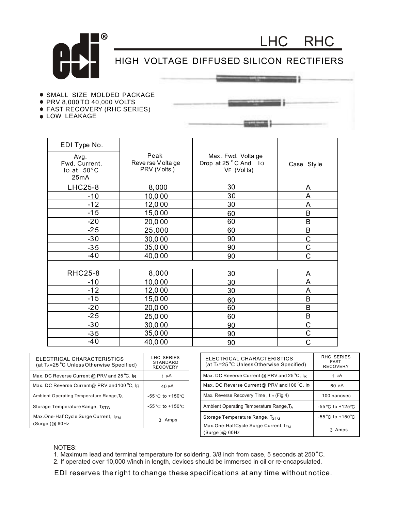

HIGH VOLTAGE DIFFUSED SILICON RECTIFIERS

LHC RHC

- **.** SMALL SIZE MOLDED PACKAGE
- PRV 8,000 TO 40,000 VOLTS
- FAST RECOVERY (RHC SERIES)
- LOW LEAKAGE

| EDI Type No.                                          |                                           |                                                          |            |
|-------------------------------------------------------|-------------------------------------------|----------------------------------------------------------|------------|
| Avg.<br>Fwd. Current,<br>Io at $50^{\circ}$ C<br>25mA | Peak<br>Reve rse V olta ge<br>PRV (Volts) | Max. Fwd. Volta ge<br>Drop at 25 °C And Io<br>VF (Volts) | Case Style |
| <b>LHC25-8</b>                                        | 8,000                                     | 30                                                       | A          |
| $-10$                                                 | 10,000                                    | 30                                                       | A          |
| $-12$                                                 | 12,000                                    | 30                                                       | A          |
| $-15$                                                 | 15,000                                    | 60                                                       | B          |
| $-20$                                                 | 20,000                                    | 60                                                       | B          |
| $-25$                                                 | 25,000                                    | 60                                                       | B          |
| $-30$                                                 | 30,000                                    | 90                                                       | C          |
| $-35$                                                 | 35,000                                    | 90                                                       | C          |
| $-40$                                                 | 40,000                                    | 90                                                       | C          |
|                                                       |                                           |                                                          |            |
| <b>RHC25-8</b>                                        | 8,000                                     | 30                                                       | A          |
| $-10$                                                 | 10,000                                    | 30                                                       | A          |
| $-12$                                                 | 12,000                                    | 30                                                       | A          |
| $-15$                                                 | 15,000                                    | 60                                                       | B          |
| $-20$                                                 | 20,000                                    | 60                                                       | B          |
| $-25$                                                 | 25,000                                    | 60                                                       | B          |
| $-30$                                                 | 30,000                                    | 90                                                       | C          |
| $-35$                                                 | 35,000                                    | 90                                                       | Ć          |
| -40                                                   | 40,000                                    | 90                                                       | C          |

| ELECTRICAL CHARACTERISTICS<br>(at T <sub>A</sub> =25 °C Unless Otherwise Specified) | LHC SERIES<br>STANDARD<br><b>RECOVERY</b> |
|-------------------------------------------------------------------------------------|-------------------------------------------|
| Max. DC Reverse Current @ PRV and 25 °C, IR                                         | 1 µ A                                     |
| Max. DC Reverse Current@ PRV and 100 °C, lR                                         | $40 \mu A$                                |
| Ambient Operating Temperature Range, TA                                             | $-55^{\circ}$ C to $+150^{\circ}$ C       |
| Storage Temperature Range, TstG                                                     | $-55^{\circ}$ C to $+150^{\circ}$ C       |
| Max.One-Half Cycle Surge Current, I <sub>FM</sub><br>(Surge)@60Hz                   | Amps                                      |

| ELECTRICAL CHARACTERISTICS<br>(at T <sub>A</sub> =25 °C Unless Otherwise Specified) | <b>RHC SERIES</b><br><b>FAST</b><br><b>RECOVERY</b> |
|-------------------------------------------------------------------------------------|-----------------------------------------------------|
| Max. DC Reverse Current @ PRV and 25 °C, $\overline{R}$                             | 1 µ A                                               |
| Max. DC Reverse Current@ PRV and 100 °C, IR                                         | $60 \mu A$                                          |
| Max. Reverse Recovery Time, t rr (Fig.4)                                            | 100 nanosec                                         |
| Ambient Operating Temperature Range, TA                                             | $-55^{\circ}$ C to $+125^{\circ}$ C                 |
| Storage Temperature Range, TsTG                                                     | $-55^{\circ}$ C to $+150^{\circ}$ C                 |
| Max.One-HalfCycle Surge Current, I <sub>EM</sub><br>(Surge)@60Hz                    | 3 Amps                                              |

## NOTES:

1. Maximum lead and terminal temperature for soldering,  $3/8$  inch from case, 5 seconds at 250 °C. o

2. If operated over 10,000 v/inch in length, devices should be immersed in oil or re-encapsulated.

EDI reserves the right to change these specifications at any time without notice.